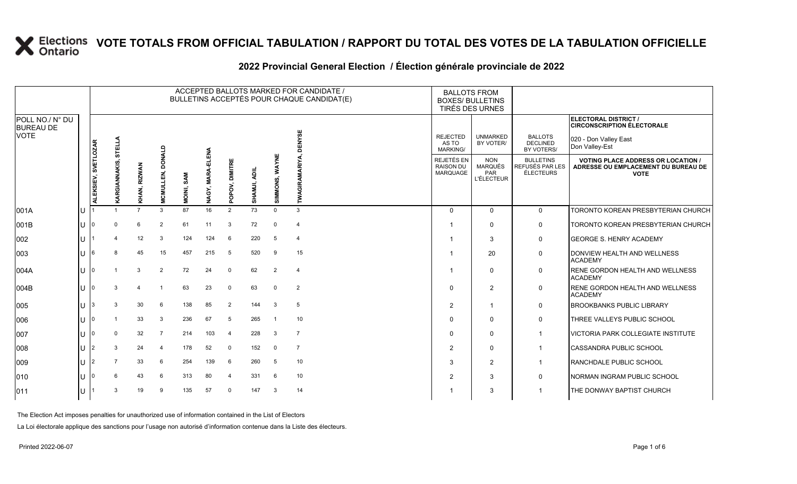|                                                    |     |                     |                |                        |                                       |            |                                 |                |              |                | ACCEPTED BALLOTS MARKED FOR CANDIDATE /<br>BULLETINS ACCEPTÉS POUR CHAQUE CANDIDAT(E) | <b>BALLOTS FROM</b><br><b>BOXES/ BULLETINS</b><br>TIRÉS DES URNES |                                                          |                                                         |                                                                                                 |
|----------------------------------------------------|-----|---------------------|----------------|------------------------|---------------------------------------|------------|---------------------------------|----------------|--------------|----------------|---------------------------------------------------------------------------------------|-------------------------------------------------------------------|----------------------------------------------------------|---------------------------------------------------------|-------------------------------------------------------------------------------------------------|
| POLL NO./ N° DU<br><b>BUREAU DE</b><br><b>VOTE</b> |     |                     |                |                        |                                       |            |                                 |                |              |                |                                                                                       | <b>REJECTED</b>                                                   | <b>UNMARKED</b>                                          | <b>BALLOTS</b>                                          | ELECTORAL DISTRICT /<br><b>CIRCONSCRIPTION ÉLECTORALE</b>                                       |
|                                                    |     |                     | STELLA         |                        |                                       |            |                                 |                |              |                |                                                                                       | AS TO<br><b>MARKING/</b>                                          | BY VOTER/                                                | <b>DECLINED</b><br>BY VOTERS/                           | 020 - Don Valley East<br>Don Valley-Est                                                         |
|                                                    |     | ALEKSIEV, SVETLOZAR |                | <b>RIZWAN</b><br>KHAN, | DONALD<br>$\vec{a}$<br><b>MCMULLI</b> | MOINI, SAM | ELENA<br><b>MARA-B</b><br>NAGY, | POPOV, DIMITRE | SHAMJI, ADIL | SIMMONS, WAYNE |                                                                                       | <b>REJETÉS EN</b><br><b>RAISON DU</b><br><b>MARQUAGE</b>          | <b>NON</b><br><b>MARQUÉS</b><br>PAR<br><b>L'ÉLECTEUR</b> | <b>BULLETINS</b><br>REFUSÉS PAR LES<br><b>ÉLECTEURS</b> | <b>VOTING PLACE ADDRESS OR LOCATION /</b><br>ADRESSE OU EMPLACEMENT DU BUREAU DE<br><b>VOTE</b> |
| 001A                                               | lU  |                     |                | $\overline{7}$         | 3                                     | 87         | 16                              | 2              | 73           | $\Omega$       | 3                                                                                     | $\Omega$                                                          | $\Omega$                                                 | $\mathbf 0$                                             | <b>TORONTO KOREAN PRESBYTERIAN CHURCH</b>                                                       |
| 001B                                               | IU  |                     | $\Omega$       | 6                      | $\overline{2}$                        | 61         | 11                              | 3              | 72           | $\mathbf 0$    | $\overline{4}$                                                                        | -1                                                                | $\Omega$                                                 | 0                                                       | <b>TORONTO KOREAN PRESBYTERIAN CHURCH</b>                                                       |
| 002                                                | ΙU  |                     | $\overline{4}$ | 12                     | 3                                     | 124        | 124                             | 6              | 220          | 5              | $\overline{4}$                                                                        | -1                                                                | 3                                                        | 0                                                       | <b>GEORGE S. HENRY ACADEMY</b>                                                                  |
| 003                                                |     | 16                  | 8              | 45                     | 15                                    | 457        | 215                             | 5              | 520          | 9              | 15                                                                                    | -1                                                                | 20                                                       | $\mathsf 0$                                             | DONVIEW HEALTH AND WELLNESS<br><b>ACADEMY</b>                                                   |
| 004A                                               | IU  |                     |                | 3                      | $\overline{2}$                        | 72         | 24                              | $\mathbf 0$    | 62           | 2              | $\overline{4}$                                                                        | -1                                                                | $\mathbf{0}$                                             | 0                                                       | <b>RENE GORDON HEALTH AND WELLNESS</b><br><b>ACADEMY</b>                                        |
| 004B                                               | ΙU  |                     | 3              | 4                      |                                       | 63         | 23                              | $\mathbf 0$    | 63           | $\mathbf 0$    | $\overline{2}$                                                                        | $\Omega$                                                          | $\overline{2}$                                           | 0                                                       | <b>RENE GORDON HEALTH AND WELLNESS</b><br><b>ACADEMY</b>                                        |
| 005                                                | ΙU  | l3                  | 3              | 30                     | 6                                     | 138        | 85                              | 2              | 144          | $\mathbf{3}$   | 5                                                                                     | $\overline{2}$                                                    | -1                                                       | 0                                                       | <b>BROOKBANKS PUBLIC LIBRARY</b>                                                                |
| 006                                                | ΙU  |                     |                | 33                     | 3                                     | 236        | 67                              | 5              | 265          | $\overline{1}$ | 10                                                                                    | $\Omega$                                                          | $\Omega$                                                 | 0                                                       | THREE VALLEYS PUBLIC SCHOOL                                                                     |
| 007                                                |     |                     | $\Omega$       | 32                     | $\overline{7}$                        | 214        | 103                             | $\overline{4}$ | 228          | -3             | $\overline{7}$                                                                        | $\Omega$                                                          | $\Omega$                                                 | $\overline{1}$                                          | <b>VICTORIA PARK COLLEGIATE INSTITUTE</b>                                                       |
| 008                                                | IU  |                     | 3              | 24                     | $\overline{4}$                        | 178        | 52                              | $\mathbf 0$    | 152          | $\overline{0}$ | $\overline{7}$                                                                        | 2                                                                 | $\Omega$                                                 | $\mathbf{1}$                                            | <b>CASSANDRA PUBLIC SCHOOL</b>                                                                  |
| 009                                                | IU. | 12                  | $\overline{7}$ | 33                     | 6                                     | 254        | 139                             | 6              | 260          | 5              | 10                                                                                    | 3                                                                 | $\overline{2}$                                           | $\overline{\mathbf{1}}$                                 | <b>RANCHDALE PUBLIC SCHOOL</b>                                                                  |
| 010                                                |     |                     | 6              | 43                     | 6                                     | 313        | 80                              | $\overline{4}$ | 331          | 6              | 10                                                                                    | $\overline{2}$                                                    | 3                                                        | $\mathbf 0$                                             | <b>INORMAN INGRAM PUBLIC SCHOOL</b>                                                             |
| 011                                                | IU. |                     | 3              | 19                     | 9                                     | 135        | 57                              | $\Omega$       | 147          | 3              | 14                                                                                    |                                                                   | 3                                                        | -1                                                      | THE DONWAY BAPTIST CHURCH                                                                       |
|                                                    |     |                     |                |                        |                                       |            |                                 |                |              |                |                                                                                       |                                                                   |                                                          |                                                         |                                                                                                 |

#### 2022 Provincial General Election / Election générale provinciale de 2022

The Election Act imposes penalties for unauthorized use of information contained in the List of Electors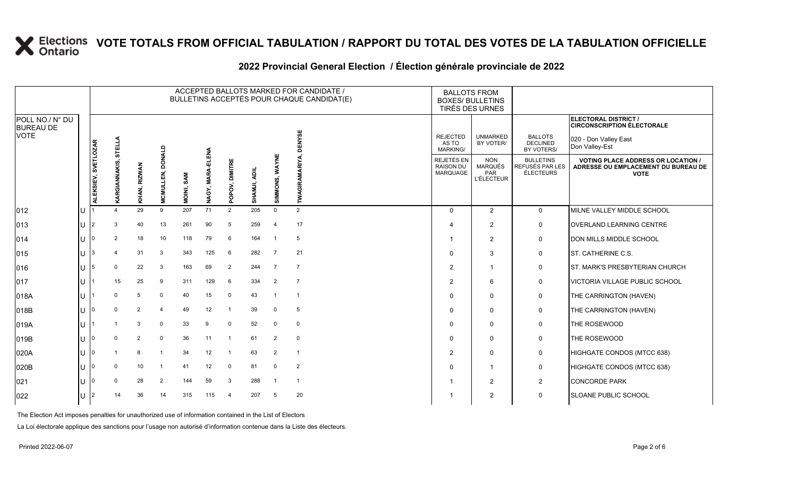|                                                    |     | ACCEPTED BALLOTS MARKED FOR CANDIDATE /<br>BULLETINS ACCEPTÉS POUR CHAQUE CANDIDAT(E) |                                    |                |                            |            |                      |                 |              |                |                 |  |                                             | <b>BALLOTS FROM</b><br><b>BOXES/ BULLETINS</b><br>TIRÉS DES URNES |                                                  |                                                                                                 |
|----------------------------------------------------|-----|---------------------------------------------------------------------------------------|------------------------------------|----------------|----------------------------|------------|----------------------|-----------------|--------------|----------------|-----------------|--|---------------------------------------------|-------------------------------------------------------------------|--------------------------------------------------|-------------------------------------------------------------------------------------------------|
| POLL NO./ N° DU<br><b>BUREAU DE</b><br><b>VOTE</b> |     |                                                                                       |                                    |                |                            |            |                      |                 |              |                |                 |  |                                             |                                                                   |                                                  | ELECTORAL DISTRICT /<br><b>CIRCONSCRIPTION ÉLECTORALE</b>                                       |
|                                                    |     |                                                                                       | STELLA                             |                |                            |            |                      |                 |              |                | ENYSE           |  | <b>REJECTED</b><br>AS TO<br><b>MARKING/</b> | <b>UNMARKED</b><br>BY VOTER/                                      | <b>BALLOTS</b><br><b>DECLINED</b><br>BY VOTERS/  | 020 - Don Valley East<br>Don Valley-Est                                                         |
|                                                    |     | ALEKSIEV, SVETLOZAR                                                                   | NNAKIS,<br>$\overline{\mathbf{e}}$ | KHAN, RIZWAN   | DONALD<br><b>MCMULLEN,</b> | MOINI, SAM | ELENA<br>NAGY, MARA- | POPOV, DIMITRE  | SHAMJI, ADIL | SIMMONS, WAYNE | GIRAMARIYA<br>Ĭ |  | REJETÉS EN<br><b>RAISON DU</b><br>MARQUAGE  | <b>NON</b><br><b>MARQUÉS</b><br><b>PAR</b><br><b>L'ÉLECTEUR</b>   | <b>BULLETINS</b><br>REFUSÉS PAR LES<br>ÉLECTEURS | <b>VOTING PLACE ADDRESS OR LOCATION /</b><br>ADRESSE OU EMPLACEMENT DU BUREAU DE<br><b>VOTE</b> |
| 012                                                | IU. |                                                                                       | $\mathbf 4$                        | 29             | 9                          | 207        | 71                   | 2               | 205          | $\Omega$       | 2               |  | $\Omega$                                    | 2                                                                 | $\overline{0}$                                   | MILNE VALLEY MIDDLE SCHOOL                                                                      |
| 013                                                | IU  | 12                                                                                    | 3                                  | 40             | 13                         | 261        | 90                   | 5               | 259          | $\overline{4}$ | 17              |  | Δ                                           | $\overline{2}$                                                    | $\mathbf 0$                                      | <b>OVERLAND LEARNING CENTRE</b>                                                                 |
| 014                                                | IU  |                                                                                       | 2                                  | 18             | 10                         | 118        | 79                   | 6               | 164          | - 1            | 5               |  |                                             | 2                                                                 | $\mathbf 0$                                      | DON MILLS MIDDLE SCHOOL                                                                         |
| 015                                                | IU  | 13                                                                                    | $\overline{\mathbf{4}}$            | 31             | 3                          | 343        | 125                  | $6\phantom{1}6$ | 282          | $\overline{7}$ | 21              |  | $\Omega$                                    | 3                                                                 | $\mathbf 0$                                      | <b>ST. CATHERINE C.S.</b>                                                                       |
| 016                                                | IU  | 15                                                                                    | $\mathbf 0$                        | 22             | 3                          | 163        | 69                   | 2               | 244          | $\overline{7}$ | $\overline{7}$  |  | 2                                           | -1                                                                | $\mathbf 0$                                      | <b>ST. MARK'S PRESBYTERIAN CHURCH</b>                                                           |
| 017                                                | IU. |                                                                                       | 15                                 | 25             | 9                          | 311        | 129                  | 6               | 334          | $\overline{2}$ | $\overline{7}$  |  | 2                                           | 6                                                                 | 0                                                | VICTORIA VILLAGE PUBLIC SCHOOL                                                                  |
| 018A                                               | IU. |                                                                                       | $\Omega$                           | 5              | $\mathbf{0}$               | 40         | 15                   | $\mathbf 0$     | 43           | $\overline{1}$ | $\overline{1}$  |  | $\Omega$                                    | $\mathbf 0$                                                       | $\mathbf 0$                                      | THE CARRINGTON (HAVEN)                                                                          |
| 018B                                               | IU. | 10                                                                                    | $\mathbf 0$                        | $\overline{2}$ | $\overline{4}$             | 49         | 12                   |                 | 39           | $\mathbf 0$    | 5               |  | $\Omega$                                    | $\mathbf 0$                                                       | $\mathbf 0$                                      | THE CARRINGTON (HAVEN)                                                                          |
| 019A                                               | lU. |                                                                                       |                                    | 3              | $\mathbf 0$                | 33         | 9                    | $\mathbf 0$     | 52           | $\mathbf 0$    | $\mathbf 0$     |  | $\Omega$                                    | $\mathbf 0$                                                       | 0                                                | THE ROSEWOOD                                                                                    |
| 019B                                               | IU  |                                                                                       | $\Omega$                           | $\overline{2}$ | $\mathbf 0$                | 36         | 11                   |                 | 61           | 2              | $\mathbf 0$     |  | $\Omega$                                    | $\mathbf 0$                                                       | $\mathbf 0$                                      | THE ROSEWOOD                                                                                    |
| 020A                                               | ΙU  | 10                                                                                    |                                    | 8              | 1                          | 34         | 12                   |                 | 63           | 2              | $\overline{1}$  |  | 2                                           | $\Omega$                                                          | $\mathbf 0$                                      | HIGHGATE CONDOS (MTCC 638)                                                                      |
| 020B                                               | IU  |                                                                                       | $\Omega$                           | 10             | $\overline{1}$             | 41         | 12                   | $\mathbf 0$     | 81           | $\Omega$       | $\overline{2}$  |  | $\Omega$                                    | $\overline{\mathbf{1}}$                                           | $\mathbf 0$                                      | HIGHGATE CONDOS (MTCC 638)                                                                      |
| 021                                                | IU  |                                                                                       | $\Omega$                           | 28             | $\overline{2}$             | 144        | 59                   | 3               | 288          | -1             | $\overline{1}$  |  |                                             | 2                                                                 | $\overline{2}$                                   | <b>CONCORDE PARK</b>                                                                            |
| 022                                                | ΙU  | 12                                                                                    | 14                                 | 36             | 14                         | 315        | 115                  | $\overline{4}$  | 207          | 5              | 20              |  |                                             | $\overline{2}$                                                    | $\mathbf 0$                                      | <b>SLOANE PUBLIC SCHOOL</b>                                                                     |
|                                                    |     |                                                                                       |                                    |                |                            |            |                      |                 |              |                |                 |  |                                             |                                                                   |                                                  |                                                                                                 |

### **2022 Provincial General Election / Élection générale provinciale de 2022**

The Election Act imposes penalties for unauthorized use of information contained in the List of Electors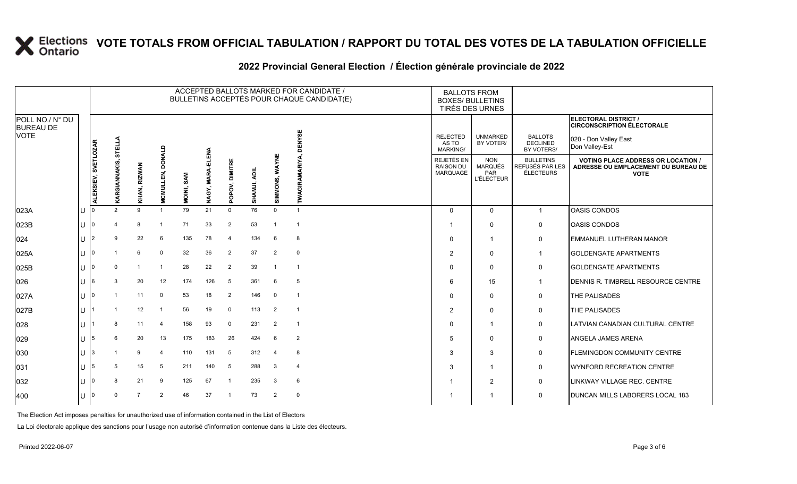|                                     |     | ACCEPTED BALLOTS MARKED FOR CANDIDATE /<br>BULLETINS ACCEPTÉS POUR CHAQUE CANDIDAT(E) |                 |                |                                   |            |                            |                |              |                |                          |  | <b>BALLOTS FROM</b><br><b>BOXES/ BULLETINS</b><br><b>TIRÉS DES URNES</b> |                                                          |                                                         |                                                                                                 |
|-------------------------------------|-----|---------------------------------------------------------------------------------------|-----------------|----------------|-----------------------------------|------------|----------------------------|----------------|--------------|----------------|--------------------------|--|--------------------------------------------------------------------------|----------------------------------------------------------|---------------------------------------------------------|-------------------------------------------------------------------------------------------------|
| POLL NO./ N° DU<br><b>BUREAU DE</b> |     |                                                                                       |                 |                |                                   |            |                            |                |              |                |                          |  |                                                                          |                                                          |                                                         | ELECTORAL DISTRICT /<br><b>CIRCONSCRIPTION ÉLECTORALE</b>                                       |
| <b>VOTE</b>                         |     |                                                                                       | STELLA          |                |                                   |            |                            |                |              |                | YSE                      |  | <b>REJECTED</b><br>AS TO<br><b>MARKING/</b>                              | <b>UNMARKED</b><br>BY VOTER/                             | <b>BALLOTS</b><br><b>DECLINED</b><br>BY VOTERS/         | 020 - Don Valley East<br>Don Valley-Est                                                         |
|                                     |     | ALEKSIEV, SVETLOZAR                                                                   | <b>GIANNAKI</b> | KHAN, RIZWAN   | <b>DONALD</b><br><b>MCMULLEN,</b> | MOINI, SAM | <b>MARA-ELENA</b><br>NAGY, | POPOV, DIMITRE | SHAMJI, ADIL | SIMMONS, WAYNE | <b>RAMARIYA</b>          |  | REJETÉS EN<br><b>RAISON DU</b><br><b>MARQUAGE</b>                        | <b>NON</b><br><b>MARQUÉS</b><br>PAR<br><b>L'ÉLECTEUR</b> | <b>BULLETINS</b><br>REFUSÉS PAR LES<br><b>ÉLECTEURS</b> | <b>VOTING PLACE ADDRESS OR LOCATION /</b><br>ADRESSE OU EMPLACEMENT DU BUREAU DE<br><b>VOTE</b> |
| 023A                                | IU  |                                                                                       | $\mathcal{P}$   | 9              |                                   | 79         | 21                         | $\Omega$       | 76           | $\Omega$       | -1                       |  | $\Omega$                                                                 | $\Omega$                                                 | $\mathbf{1}$                                            | <b>OASIS CONDOS</b>                                                                             |
| 023B                                | IU  |                                                                                       | 4               | 8              | $\overline{\mathbf{1}}$           | 71         | 33                         | $\overline{2}$ | 53           | -1             | $\overline{\phantom{a}}$ |  |                                                                          | $\Omega$                                                 | 0                                                       | <b>OASIS CONDOS</b>                                                                             |
| 024                                 | IU  |                                                                                       | 9               | 22             | 6                                 | 135        | 78                         | $\overline{4}$ | 134          | 6              | 8                        |  | $\Omega$                                                                 | $\overline{1}$                                           | 0                                                       | <b>EMMANUEL LUTHERAN MANOR</b>                                                                  |
| 025A                                | IU  |                                                                                       |                 | 6              | $\Omega$                          | 32         | 36                         | 2              | 37           | 2              | $\mathbf 0$              |  | $\overline{2}$                                                           | $\mathbf 0$                                              | $\overline{1}$                                          | <b>GOLDENGATE APARTMENTS</b>                                                                    |
| 025B                                | IU  |                                                                                       | $\Omega$        | -1             | -1                                | 28         | 22                         | 2              | 39           | -1             | $\overline{\mathbf{1}}$  |  | $\Omega$                                                                 | $\Omega$                                                 | 0                                                       | <b>GOLDENGATE APARTMENTS</b>                                                                    |
| 026                                 | IU  | 16                                                                                    | 3               | 20             | 12                                | 174        | 126                        | 5              | 361          | 6              | 5                        |  | 6                                                                        | 15                                                       | $\mathbf 1$                                             | DENNIS R. TIMBRELL RESOURCE CENTRE                                                              |
| 027A                                | IU  |                                                                                       |                 | 11             | $\Omega$                          | 53         | 18                         | $\overline{2}$ | 146          | $\mathbf 0$    | $\overline{1}$           |  | $\Omega$                                                                 | $\mathbf 0$                                              | 0                                                       | THE PALISADES                                                                                   |
| 027B                                | IU. |                                                                                       |                 | 12             |                                   | 56         | 19                         | $\mathbf 0$    | 113          | $\overline{2}$ | $\overline{1}$           |  | $\overline{2}$                                                           | $\mathbf 0$                                              | 0                                                       | <b>THE PALISADES</b>                                                                            |
| 028                                 | IU  |                                                                                       | 8               | 11             | $\overline{4}$                    | 158        | 93                         | 0              | 231          | $\overline{2}$ | $\overline{\mathbf{1}}$  |  | $\Omega$                                                                 | $\mathbf 1$                                              | $\mathbf 0$                                             | LATVIAN CANADIAN CULTURAL CENTRE                                                                |
| 029                                 | IU  | 15                                                                                    | 6               | 20             | 13                                | 175        | 183                        | 26             | 424          | 6              | $\overline{2}$           |  | 5                                                                        | $\mathbf 0$                                              | 0                                                       | <b>ANGELA JAMES ARENA</b>                                                                       |
| 030                                 | IU  | I3                                                                                    |                 | 9              | $\overline{4}$                    | 110        | 131                        | 5              | 312          | $\overline{4}$ | 8                        |  | 3                                                                        | 3                                                        | 0                                                       | <b>FLEMINGDON COMMUNITY CENTRE</b>                                                              |
| 031                                 | IU. | 15                                                                                    | 5               | 15             | 5                                 | 211        | 140                        | 5              | 288          | 3              | $\overline{4}$           |  | 3                                                                        | $\overline{1}$                                           | 0                                                       | <b>WYNFORD RECREATION CENTRE</b>                                                                |
| 032                                 | IU  |                                                                                       | 8               | 21             | 9                                 | 125        | 67                         | -1             | 235          | 3              | 6                        |  |                                                                          | $\overline{2}$                                           | 0                                                       | LINKWAY VILLAGE REC. CENTRE                                                                     |
| 400                                 | Iυ  |                                                                                       | $\mathbf 0$     | $\overline{7}$ | $\overline{2}$                    | 46         | 37                         |                | 73           | 2              | $\mathbf 0$              |  |                                                                          | -1                                                       | 0                                                       | DUNCAN MILLS LABORERS LOCAL 183                                                                 |

#### **2022 Provincial General Election / Élection générale provinciale de 2022**

The Election Act imposes penalties for unauthorized use of information contained in the List of Electors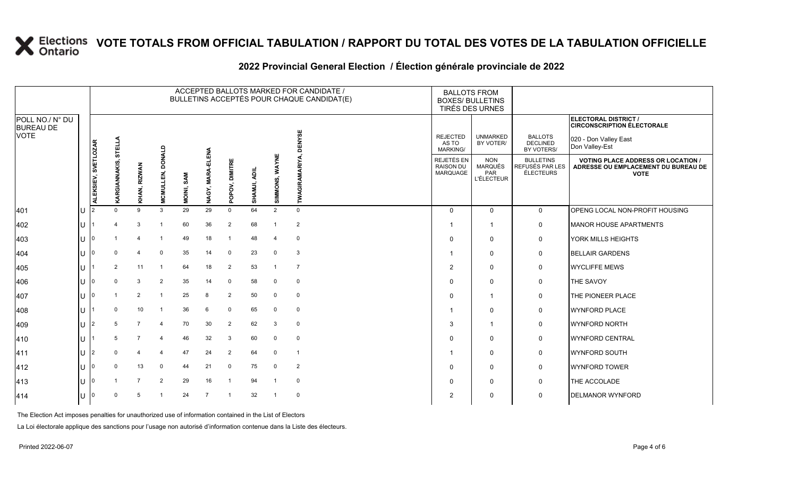|                                                    |     |                     |                |                |                     |            |                      |                |              |                | ACCEPTED BALLOTS MARKED FOR CANDIDATE /<br>BULLETINS ACCEPTÉS POUR CHAQUE CANDIDAT(E) | <b>BALLOTS FROM</b><br><b>BOXES/ BULLETINS</b><br>TIRÉS DES URNES |                                                          |                                                  |                                                                                                      |
|----------------------------------------------------|-----|---------------------|----------------|----------------|---------------------|------------|----------------------|----------------|--------------|----------------|---------------------------------------------------------------------------------------|-------------------------------------------------------------------|----------------------------------------------------------|--------------------------------------------------|------------------------------------------------------------------------------------------------------|
| POLL NO./ N° DU<br><b>BUREAU DE</b><br><b>VOTE</b> |     |                     | <b>STELLA</b>  |                |                     |            |                      |                |              |                | ENYSE<br>ō                                                                            | <b>REJECTED</b><br>AS TO<br><b>MARKING/</b>                       | <b>UNMARKED</b><br>BY VOTER/                             | <b>BALLOTS</b><br><b>DECLINED</b><br>BY VOTERS/  | ELECTORAL DISTRICT /<br><b>CIRCONSCRIPTION ÉLECTORALE</b><br>020 - Don Valley East<br>Don Valley-Est |
|                                                    |     | ALEKSIEV, SVETLOZAR | ທົ             | KHAN, RIZWAN   | DONALD<br>MCMULLEN, | MOINI, SAM | ELENA<br>NAGY, MARA- | POPOV, DIMITRE | SHAMJI, ADIL | SIMMONS, WAYNE | <b>TWAGIRAMARIYA</b>                                                                  | REJETÉS EN<br>RAISON DU<br>MARQUAGE                               | <b>NON</b><br><b>MARQUÉS</b><br>PAR<br><b>L'ÉLECTEUR</b> | <b>BULLETINS</b><br>REFUSÉS PAR LES<br>ÉLECTEURS | <b>VOTING PLACE ADDRESS OR LOCATION /</b><br>ADRESSE OU EMPLACEMENT DU BUREAU DE<br><b>VOTE</b>      |
| 401                                                | U   | 12                  | $\Omega$       | 9              | 3                   | 29         | 29                   | $\mathbf 0$    | 64           | 2              | $\mathbf 0$                                                                           | $\Omega$                                                          | $\mathbf 0$                                              | $\mathbf 0$                                      | OPENG LOCAL NON-PROFIT HOUSING                                                                       |
| 402                                                | IU  |                     | $\overline{a}$ | 3              | -1                  | 60         | 36                   | 2              | 68           | $\mathbf{1}$   | $\overline{2}$                                                                        |                                                                   | $\mathbf{1}$                                             | 0                                                | <b>MANOR HOUSE APARTMENTS</b>                                                                        |
| 403                                                | U   | I٥                  |                | $\overline{4}$ | $\overline{1}$      | 49         | 18                   | $\overline{1}$ | 48           |                | $\mathbf 0$                                                                           | 0                                                                 | 0                                                        | 0                                                | YORK MILLS HEIGHTS                                                                                   |
| 404                                                | U   | I٥                  | $\mathbf 0$    | 4              | $\mathbf 0$         | 35         | 14                   | $\mathbf 0$    | 23           | 0              | 3                                                                                     |                                                                   | $\mathbf 0$                                              | 0                                                | <b>BELLAIR GARDENS</b>                                                                               |
| 405                                                | IU  |                     | 2              | 11             | $\overline{1}$      | 64         | 18                   | $\overline{2}$ | 53           |                | $\overline{7}$                                                                        | 2                                                                 | $\Omega$                                                 | 0                                                | <b>WYCLIFFE MEWS</b>                                                                                 |
| 406                                                | IU. | I0                  | $\Omega$       | 3              | 2                   | 35         | 14                   | $\mathbf{0}$   | 58           | 0              | $\mathbf 0$                                                                           | 0                                                                 | 0                                                        | 0                                                | THE SAVOY                                                                                            |
| 407                                                | U   | I٥                  |                | 2              | $\overline{1}$      | 25         | 8                    | 2              | 50           | 0              | $\mathbf 0$                                                                           | $\Omega$                                                          | $\overline{1}$                                           | 0                                                | THE PIONEER PLACE                                                                                    |
| 408                                                | IU  |                     | $\mathbf 0$    | 10             | -1                  | 36         | 6                    | $\mathbf 0$    | 65           | $\mathbf 0$    | $\mathbf 0$                                                                           |                                                                   | $\Omega$                                                 | 0                                                | <b>WYNFORD PLACE</b>                                                                                 |
| 409                                                | ΙU  | 12                  | 5              | $\overline{7}$ | 4                   | 70         | 30                   | 2              | 62           | 3              | $\mathbf 0$                                                                           | 3                                                                 | -1                                                       | 0                                                | WYNFORD NORTH                                                                                        |
| 410                                                | U   |                     | 5              | $\overline{7}$ | $\overline{4}$      | 46         | 32                   | 3              | 60           | 0              | $\mathbf 0$                                                                           | $\Omega$                                                          | $\mathbf 0$                                              | 0                                                | <b>WYNFORD CENTRAL</b>                                                                               |
| 411                                                | IU  | $\mathsf{I}2$       | $\mathbf 0$    | 4              | $\overline{4}$      | 47         | 24                   | 2              | 64           | $\mathbf 0$    | $\overline{1}$                                                                        |                                                                   | $\Omega$                                                 | 0                                                | <b>WYNFORD SOUTH</b>                                                                                 |
| 412                                                | ΙU  | I0                  | $\Omega$       | 13             | $\mathbf 0$         | 44         | 21                   | $\mathbf 0$    | 75           | $\mathbf 0$    | 2                                                                                     | 0                                                                 | 0                                                        | 0                                                | WYNFORD TOWER                                                                                        |
| 413                                                | U   | ı∩                  |                | $\overline{7}$ | $\overline{2}$      | 29         | 16                   | $\overline{1}$ | 94           |                | $\mathbf 0$                                                                           | $\Omega$                                                          | $\mathbf 0$                                              | $\mathbf 0$                                      | THE ACCOLADE                                                                                         |
| 414                                                | IU  | -10                 | $\mathbf 0$    | 5              |                     | 24         | $\overline{7}$       | $\overline{1}$ | 32           |                | $\mathbf 0$                                                                           | 2                                                                 | 0                                                        | $\mathbf 0$                                      | <b>DELMANOR WYNFORD</b>                                                                              |
|                                                    |     |                     |                |                |                     |            |                      |                |              |                |                                                                                       |                                                                   |                                                          |                                                  |                                                                                                      |

### **2022 Provincial General Election / Élection générale provinciale de 2022**

The Election Act imposes penalties for unauthorized use of information contained in the List of Electors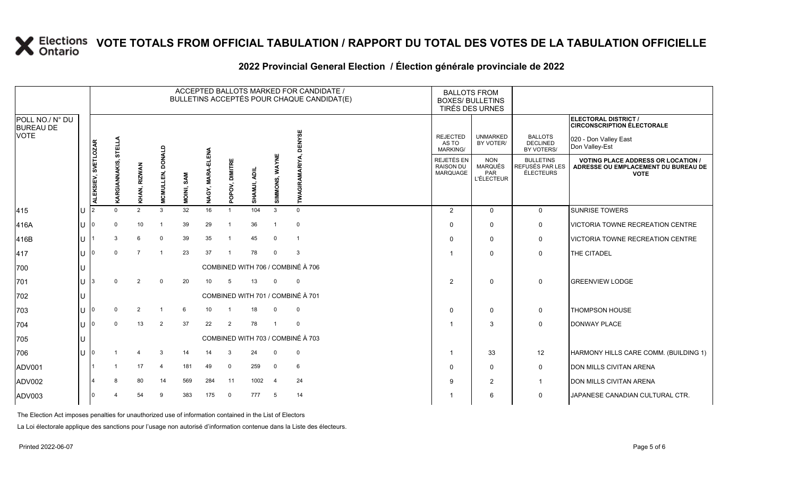|                                     |     | ACCEPTED BALLOTS MARKED FOR CANDIDATE /<br>BULLETINS ACCEPTÉS POUR CHAQUE CANDIDAT(E) |                    |                          |                            |            |                      |                |              |                |                                   |  | <b>BALLOTS FROM</b><br><b>BOXES/ BULLETINS</b><br>TIRÉS DES URNES |                                                          |                                                  |                                                                                                 |
|-------------------------------------|-----|---------------------------------------------------------------------------------------|--------------------|--------------------------|----------------------------|------------|----------------------|----------------|--------------|----------------|-----------------------------------|--|-------------------------------------------------------------------|----------------------------------------------------------|--------------------------------------------------|-------------------------------------------------------------------------------------------------|
| POLL NO./ N° DU<br><b>BUREAU DE</b> |     |                                                                                       |                    |                          |                            |            |                      |                |              |                |                                   |  |                                                                   |                                                          |                                                  | ELECTORAL DISTRICT /<br><b>CIRCONSCRIPTION ÉLECTORALE</b>                                       |
| <b>VOTE</b>                         |     |                                                                                       | STELLA             |                          |                            |            |                      |                |              |                | $\overline{a}$                    |  | <b>REJECTED</b><br>AS TO<br><b>MARKING/</b>                       | <b>UNMARKED</b><br>BY VOTER/                             | <b>BALLOTS</b><br><b>DECLINED</b><br>BY VOTERS/  | 020 - Don Valley East<br>Don Valley-Est                                                         |
|                                     |     | ALEKSIEV, SVETLOZAR                                                                   | <u>ഗ</u><br>ANNAKI | <b>RIZWAN</b><br>KHAN, I | <b>DONALD</b><br>MCMULLEN, | MOINI, SAM | ELENA<br>NAGY, MARA- | POPOV, DIMITRE | SHAMJI, ADIL | SIMMONS, WAYNE |                                   |  | REJETÉS EN<br><b>RAISON DU</b><br><b>MARQUAGE</b>                 | <b>NON</b><br>MARQUÉS<br><b>PAR</b><br><b>L'ÉLECTEUR</b> | <b>BULLETINS</b><br>REFUSÉS PAR LES<br>ÉLECTEURS | <b>VOTING PLACE ADDRESS OR LOCATION /</b><br>ADRESSE OU EMPLACEMENT DU BUREAU DE<br><b>VOTE</b> |
| 415                                 | lU  |                                                                                       | $\Omega$           | 2                        | $\mathbf{3}$               | 32         | 16                   |                | 104          | $\mathbf{3}$   | $\Omega$                          |  | 2                                                                 | $\mathbf{0}$                                             | $\mathbf 0$                                      | <b>SUNRISE TOWERS</b>                                                                           |
| 416A                                | IU  |                                                                                       | $\Omega$           | 10                       | $\overline{1}$             | 39         | 29                   |                | 36           | $\overline{1}$ | $\mathbf 0$                       |  | $\Omega$                                                          | $\mathbf{0}$                                             | 0                                                | VICTORIA TOWNE RECREATION CENTRE                                                                |
| 416B                                | lU  |                                                                                       | 3                  | 6                        | $\mathbf 0$                | 39         | 35                   |                | 45           | $\mathbf 0$    | $\overline{1}$                    |  | $\Omega$                                                          | $\Omega$                                                 | $\mathbf 0$                                      | VICTORIA TOWNE RECREATION CENTRE                                                                |
| 417                                 | IU. |                                                                                       | $\Omega$           | $\overline{7}$           |                            | 23         | 37                   | $\overline{1}$ | 78           | $\mathbf 0$    | $\overline{3}$                    |  | 1                                                                 | $\Omega$                                                 | $\mathbf 0$                                      | THE CITADEL                                                                                     |
| 700                                 |     |                                                                                       |                    |                          |                            |            |                      |                |              |                | COMBINED WITH 706 / COMBINÉ À 706 |  |                                                                   |                                                          |                                                  |                                                                                                 |
| 701                                 | ΙU  |                                                                                       | $\Omega$           | 2                        | $\mathbf 0$                | 20         | 10                   | -5             | 13           | $\Omega$       | $\overline{0}$                    |  | 2                                                                 | $\mathbf 0$                                              | 0                                                | <b>GREENVIEW LODGE</b>                                                                          |
| 702                                 | ΙU  |                                                                                       |                    |                          |                            |            |                      |                |              |                | COMBINED WITH 701 / COMBINÉ À 701 |  |                                                                   |                                                          |                                                  |                                                                                                 |
| 703                                 |     |                                                                                       | $\mathbf 0$        | 2                        | $\mathbf{1}$               | 6          | 10                   |                | 18           | $\Omega$       | $\overline{\mathbf{0}}$           |  | $\Omega$                                                          | $\mathbf{0}$                                             | 0                                                | <b>THOMPSON HOUSE</b>                                                                           |
| 704                                 | ΙU  |                                                                                       | $\mathbf 0$        | 13                       | $\overline{2}$             | 37         | 22                   | 2              | 78           | $\overline{1}$ | $\overline{0}$                    |  | -1                                                                | 3                                                        | 0                                                | <b>DONWAY PLACE</b>                                                                             |
| 705                                 | lU  |                                                                                       |                    |                          |                            |            |                      |                |              |                | COMBINED WITH 703 / COMBINÉ À 703 |  |                                                                   |                                                          |                                                  |                                                                                                 |
| 706                                 | IU  |                                                                                       |                    | 4                        | 3                          | 14         | 14                   | 3              | 24           | $\mathbf 0$    | $\overline{\mathbf{0}}$           |  | - 1                                                               | 33                                                       | 12                                               | HARMONY HILLS CARE COMM. (BUILDING 1)                                                           |
| ADV001                              |     |                                                                                       | -1                 | 17                       | $\overline{4}$             | 181        | 49                   | 0              | 259          | $\overline{0}$ | 6                                 |  | 0                                                                 | $\mathbf 0$                                              | 0                                                | <b>DON MILLS CIVITAN ARENA</b>                                                                  |
| ADV002                              |     |                                                                                       | 8                  | 80                       | 14                         | 569        | 284                  | 11             | 1002         | $\overline{4}$ | 24                                |  | 9                                                                 | 2                                                        | $\mathbf{1}$                                     | <b>DON MILLS CIVITAN ARENA</b>                                                                  |
| ADV003                              |     |                                                                                       | 4                  | 54                       | 9                          | 383        | 175                  | $\overline{0}$ | 777          | $5^{\circ}$    | 14                                |  |                                                                   | 6                                                        | 0                                                | JAPANESE CANADIAN CULTURAL CTR.                                                                 |

### **2022 Provincial General Election / Élection générale provinciale de 2022**

The Election Act imposes penalties for unauthorized use of information contained in the List of Electors